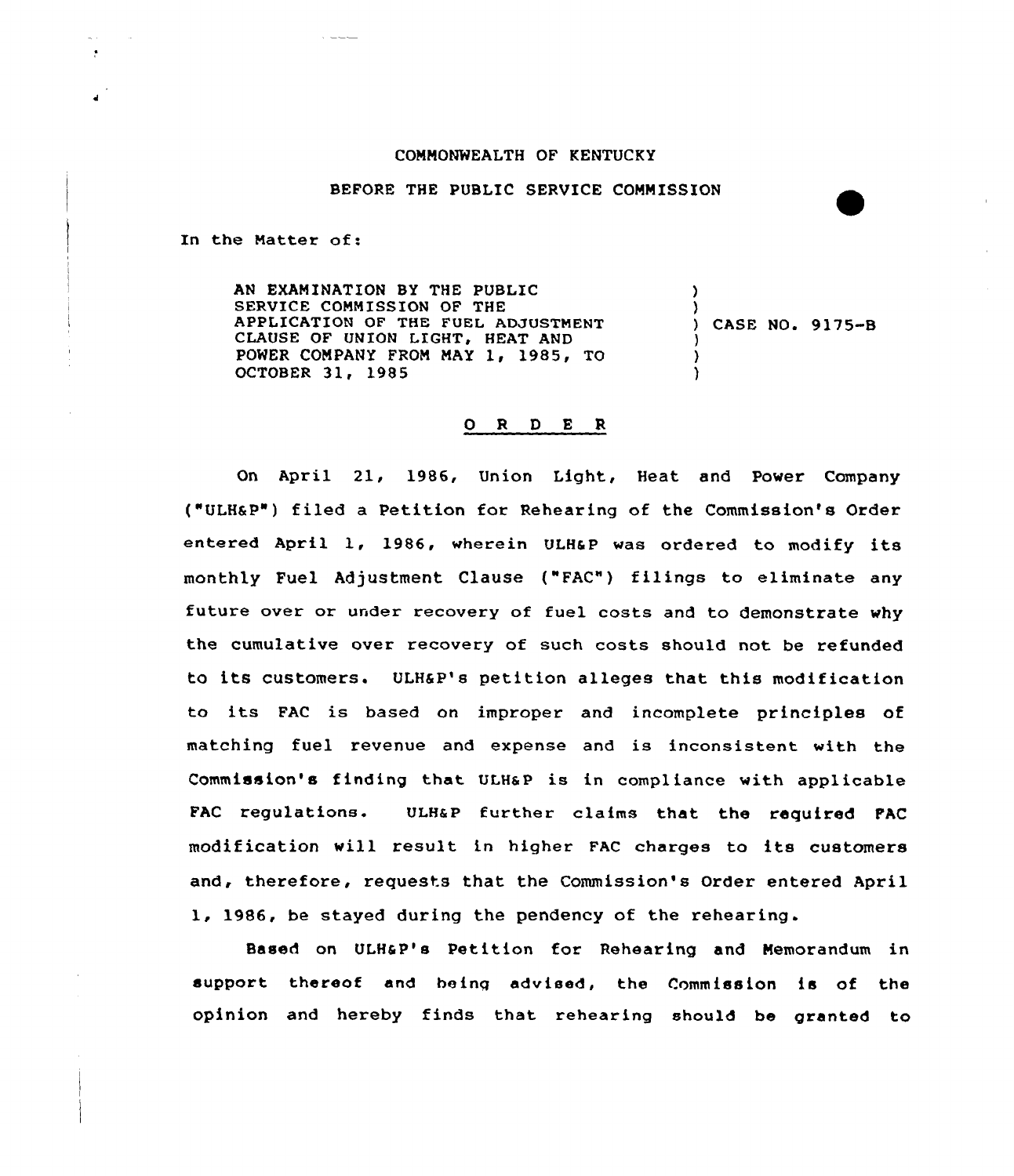## COMMONWEALTH OF KENTUCKY

## BEFORE THE PUBLIC SERVICE COMMISSION

In the Matter of:

AN EXAMINATION BY THE PUBLIC SERVICE COMMISSION OF THE APPLICATION OF THE FUEL ADJUSTMENT CLAUSE OF UNION LIGHT, HEAT AND POWER COMPANY FROM MAY 1, 1985, TO OCTOBER 31, 1985 ) ) ) CASE NO. 9175-B ) )

## 0 <sup>R</sup> <sup>D</sup> E <sup>R</sup>

On April 21, 1986, Union Light, Heat and Power Company ("ULH&P") filed a Petition for Rehearing of the Commission's Order entered April 1, 1986, wherein ULHSP was ordered to modify its monthly Fuel Adjustment Clause ("FAC") filings to eliminate any future over or under recovery of fuel costs and to demonstrate why the cumulative over recovery of such costs should not be refunded to its customers. ULHSP's petition alleges that this modification to its FAC is based on improper and incomplete principles of matching fuel revenue and expense and is inconsistent with the Commission's finding that ULH&P is in compliance with applicable FAC regulations. ULHaP further claims that the required FAC modification will result in higher FAc charges to its customers and, therefore, requests that the Commission's Order entered April 1986, be stayed during the pendency of the rehearing.

Based on ULHaP's Petition for Rehearing and Memorandum in support thereof and being advised, the Commission is of the opinion and hereby finds that rehearing should be granted to